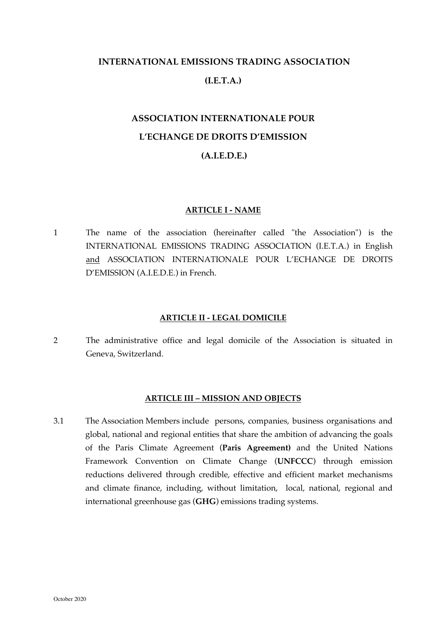# **INTERNATIONAL EMISSIONS TRADING ASSOCIATION (I.E.T.A.)**

# **ASSOCIATION INTERNATIONALE POUR L'ECHANGE DE DROITS D'EMISSION (A.I.E.D.E.)**

## **ARTICLE I - NAME**

1 The name of the association (hereinafter called "the Association") is the INTERNATIONAL EMISSIONS TRADING ASSOCIATION (I.E.T.A.) in English and ASSOCIATION INTERNATIONALE POUR L'ECHANGE DE DROITS D'EMISSION (A.I.E.D.E.) in French.

#### **ARTICLE II - LEGAL DOMICILE**

2 The administrative office and legal domicile of the Association is situated in Geneva, Switzerland.

#### **ARTICLE III – MISSION AND OBJECTS**

3.1 The Association Members include persons, companies, business organisations and global, national and regional entities that share the ambition of advancing the goals of the Paris Climate Agreement (**Paris Agreement)** and the United Nations Framework Convention on Climate Change (**UNFCCC**) through emission reductions delivered through credible, effective and efficient market mechanisms and climate finance, including, without limitation, local, national, regional and international greenhouse gas (**GHG**) emissions trading systems.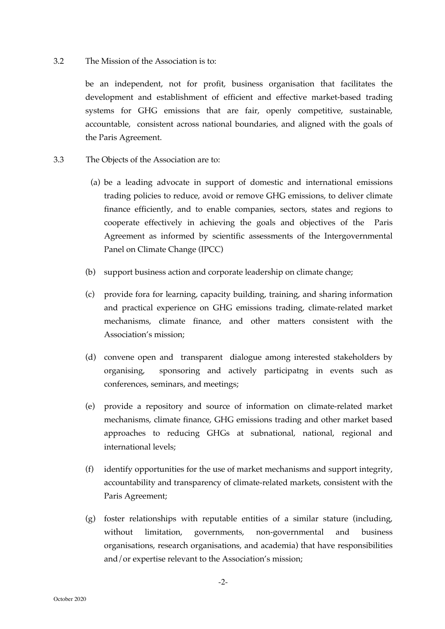#### 3.2 The Mission of the Association is to:

be an independent, not for profit, business organisation that facilitates the development and establishment of efficient and effective market-based trading systems for GHG emissions that are fair, openly competitive, sustainable, accountable, consistent across national boundaries, and aligned with the goals of the Paris Agreement.

- 3.3 The Objects of the Association are to:
	- (a) be a leading advocate in support of domestic and international emissions trading policies to reduce, avoid or remove GHG emissions, to deliver climate finance efficiently, and to enable companies, sectors, states and regions to cooperate effectively in achieving the goals and objectives of the Paris Agreement as informed by scientific assessments of the Intergovernmental Panel on Climate Change (IPCC)
	- (b) support business action and corporate leadership on climate change;
	- (c) provide fora for learning, capacity building, training, and sharing information and practical experience on GHG emissions trading, climate-related market mechanisms, climate finance, and other matters consistent with the Association's mission;
	- (d) convene open and transparent dialogue among interested stakeholders by organising, sponsoring and actively participatng in events such as conferences, seminars, and meetings;
	- (e) provide a repository and source of information on climate-related market mechanisms, climate finance, GHG emissions trading and other market based approaches to reducing GHGs at subnational, national, regional and international levels;
	- (f) identify opportunities for the use of market mechanisms and support integrity, accountability and transparency of climate-related markets, consistent with the Paris Agreement;
	- (g) foster relationships with reputable entities of a similar stature (including, without limitation, governments, non-governmental and business organisations, research organisations, and academia) that have responsibilities and/or expertise relevant to the Association's mission;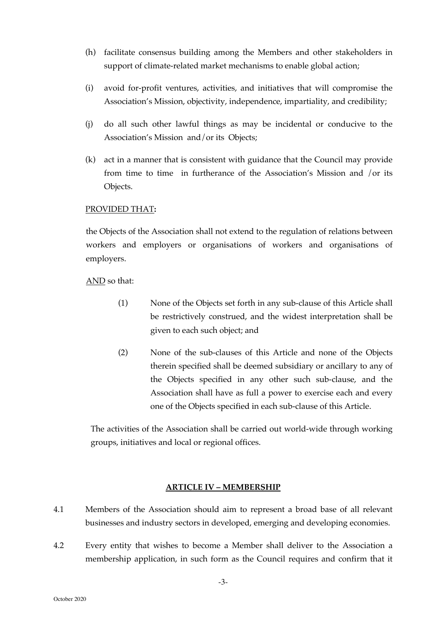- (h) facilitate consensus building among the Members and other stakeholders in support of climate-related market mechanisms to enable global action;
- (i) avoid for-profit ventures, activities, and initiatives that will compromise the Association's Mission, objectivity, independence, impartiality, and credibility;
- (j) do all such other lawful things as may be incidental or conducive to the Association's Mission and/or its Objects;
- (k) act in a manner that is consistent with guidance that the Council may provide from time to time in furtherance of the Association's Mission and /or its Objects.

#### PROVIDED THAT**:**

the Objects of the Association shall not extend to the regulation of relations between workers and employers or organisations of workers and organisations of employers.

AND so that:

- (1) None of the Objects set forth in any sub-clause of this Article shall be restrictively construed, and the widest interpretation shall be given to each such object; and
- (2) None of the sub-clauses of this Article and none of the Objects therein specified shall be deemed subsidiary or ancillary to any of the Objects specified in any other such sub-clause, and the Association shall have as full a power to exercise each and every one of the Objects specified in each sub-clause of this Article.

The activities of the Association shall be carried out world-wide through working groups, initiatives and local or regional offices.

## **ARTICLE IV – MEMBERSHIP**

- 4.1 Members of the Association should aim to represent a broad base of all relevant businesses and industry sectors in developed, emerging and developing economies.
- 4.2 Every entity that wishes to become a Member shall deliver to the Association a membership application, in such form as the Council requires and confirm that it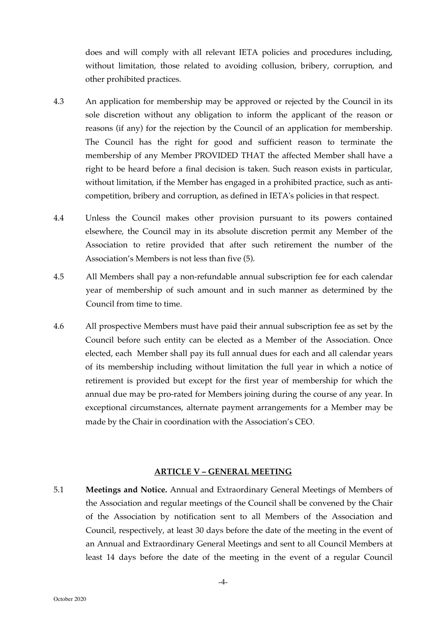does and will comply with all relevant IETA policies and procedures including, without limitation, those related to avoiding collusion, bribery, corruption, and other prohibited practices.

- 4.3 An application for membership may be approved or rejected by the Council in its sole discretion without any obligation to inform the applicant of the reason or reasons (if any) for the rejection by the Council of an application for membership. The Council has the right for good and sufficient reason to terminate the membership of any Member PROVIDED THAT the affected Member shall have a right to be heard before a final decision is taken. Such reason exists in particular, without limitation, if the Member has engaged in a prohibited practice, such as anticompetition, bribery and corruption, as defined in IETA's policies in that respect.
- 4.4 Unless the Council makes other provision pursuant to its powers contained elsewhere, the Council may in its absolute discretion permit any Member of the Association to retire provided that after such retirement the number of the Association's Members is not less than five (5).
- 4.5 All Members shall pay a non-refundable annual subscription fee for each calendar year of membership of such amount and in such manner as determined by the Council from time to time.
- 4.6 All prospective Members must have paid their annual subscription fee as set by the Council before such entity can be elected as a Member of the Association. Once elected, each Member shall pay its full annual dues for each and all calendar years of its membership including without limitation the full year in which a notice of retirement is provided but except for the first year of membership for which the annual due may be pro-rated for Members joining during the course of any year. In exceptional circumstances, alternate payment arrangements for a Member may be made by the Chair in coordination with the Association's CEO.

#### **ARTICLE V – GENERAL MEETING**

5.1 **Meetings and Notice.** Annual and Extraordinary General Meetings of Members of the Association and regular meetings of the Council shall be convened by the Chair of the Association by notification sent to all Members of the Association and Council, respectively, at least 30 days before the date of the meeting in the event of an Annual and Extraordinary General Meetings and sent to all Council Members at least 14 days before the date of the meeting in the event of a regular Council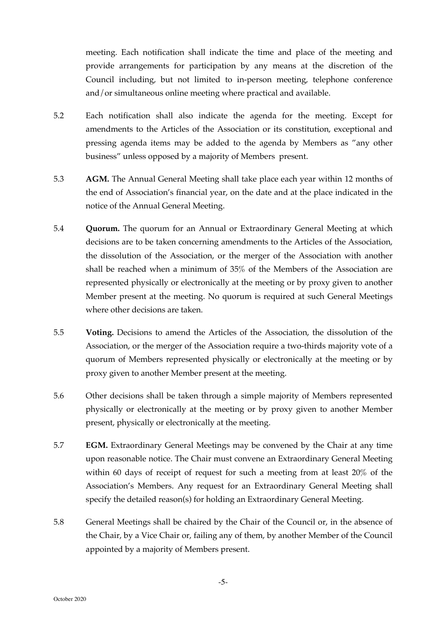meeting. Each notification shall indicate the time and place of the meeting and provide arrangements for participation by any means at the discretion of the Council including, but not limited to in-person meeting, telephone conference and/or simultaneous online meeting where practical and available.

- 5.2 Each notification shall also indicate the agenda for the meeting. Except for amendments to the Articles of the Association or its constitution, exceptional and pressing agenda items may be added to the agenda by Members as "any other business" unless opposed by a majority of Members present.
- 5.3 **AGM.** The Annual General Meeting shall take place each year within 12 months of the end of Association's financial year, on the date and at the place indicated in the notice of the Annual General Meeting.
- 5.4 **Quorum.** The quorum for an Annual or Extraordinary General Meeting at which decisions are to be taken concerning amendments to the Articles of the Association, the dissolution of the Association, or the merger of the Association with another shall be reached when a minimum of 35% of the Members of the Association are represented physically or electronically at the meeting or by proxy given to another Member present at the meeting. No quorum is required at such General Meetings where other decisions are taken.
- 5.5 **Voting.** Decisions to amend the Articles of the Association, the dissolution of the Association, or the merger of the Association require a two-thirds majority vote of a quorum of Members represented physically or electronically at the meeting or by proxy given to another Member present at the meeting.
- 5.6 Other decisions shall be taken through a simple majority of Members represented physically or electronically at the meeting or by proxy given to another Member present, physically or electronically at the meeting.
- 5.7 **EGM.** Extraordinary General Meetings may be convened by the Chair at any time upon reasonable notice. The Chair must convene an Extraordinary General Meeting within 60 days of receipt of request for such a meeting from at least 20% of the Association's Members. Any request for an Extraordinary General Meeting shall specify the detailed reason(s) for holding an Extraordinary General Meeting.
- 5.8 General Meetings shall be chaired by the Chair of the Council or, in the absence of the Chair, by a Vice Chair or, failing any of them, by another Member of the Council appointed by a majority of Members present.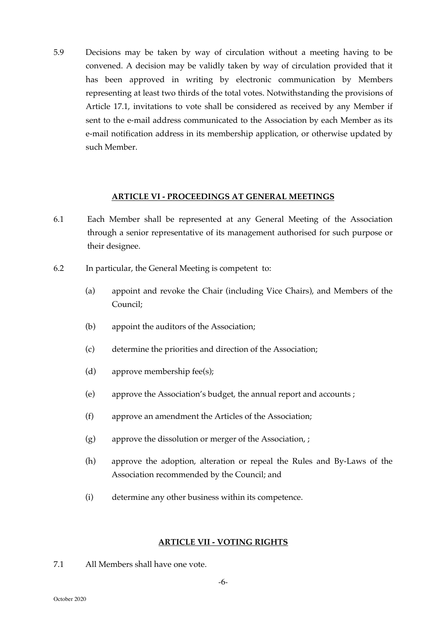5.9 Decisions may be taken by way of circulation without a meeting having to be convened. A decision may be validly taken by way of circulation provided that it has been approved in writing by electronic communication by Members representing at least two thirds of the total votes. Notwithstanding the provisions of Article 17.1, invitations to vote shall be considered as received by any Member if sent to the e-mail address communicated to the Association by each Member as its e-mail notification address in its membership application, or otherwise updated by such Member.

#### **ARTICLE VI - PROCEEDINGS AT GENERAL MEETINGS**

- 6.1 Each Member shall be represented at any General Meeting of the Association through a senior representative of its management authorised for such purpose or their designee.
- 6.2 In particular, the General Meeting is competent to:
	- (a) appoint and revoke the Chair (including Vice Chairs), and Members of the Council;
	- (b) appoint the auditors of the Association;
	- (c) determine the priorities and direction of the Association;
	- (d) approve membership fee(s);
	- (e) approve the Association's budget, the annual report and accounts ;
	- (f) approve an amendment the Articles of the Association;
	- (g) approve the dissolution or merger of the Association, ;
	- (h) approve the adoption, alteration or repeal the Rules and By-Laws of the Association recommended by the Council; and
	- (i) determine any other business within its competence.

#### **ARTICLE VII - VOTING RIGHTS**

7.1 All Members shall have one vote.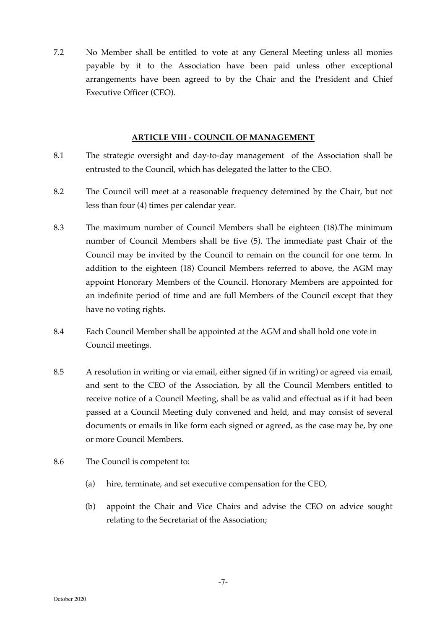7.2 No Member shall be entitled to vote at any General Meeting unless all monies payable by it to the Association have been paid unless other exceptional arrangements have been agreed to by the Chair and the President and Chief Executive Officer (CEO).

#### **ARTICLE VIII - COUNCIL OF MANAGEMENT**

- 8.1 The strategic oversight and day-to-day management of the Association shall be entrusted to the Council, which has delegated the latter to the CEO.
- 8.2 The Council will meet at a reasonable frequency detemined by the Chair, but not less than four (4) times per calendar year.
- 8.3 The maximum number of Council Members shall be eighteen (18).The minimum number of Council Members shall be five (5). The immediate past Chair of the Council may be invited by the Council to remain on the council for one term. In addition to the eighteen (18) Council Members referred to above, the AGM may appoint Honorary Members of the Council. Honorary Members are appointed for an indefinite period of time and are full Members of the Council except that they have no voting rights.
- 8.4 Each Council Member shall be appointed at the AGM and shall hold one vote in Council meetings.
- 8.5 A resolution in writing or via email, either signed (if in writing) or agreed via email, and sent to the CEO of the Association, by all the Council Members entitled to receive notice of a Council Meeting, shall be as valid and effectual as if it had been passed at a Council Meeting duly convened and held, and may consist of several documents or emails in like form each signed or agreed, as the case may be, by one or more Council Members.
- 8.6 The Council is competent to:
	- (a) hire, terminate, and set executive compensation for the CEO,
	- (b) appoint the Chair and Vice Chairs and advise the CEO on advice sought relating to the Secretariat of the Association;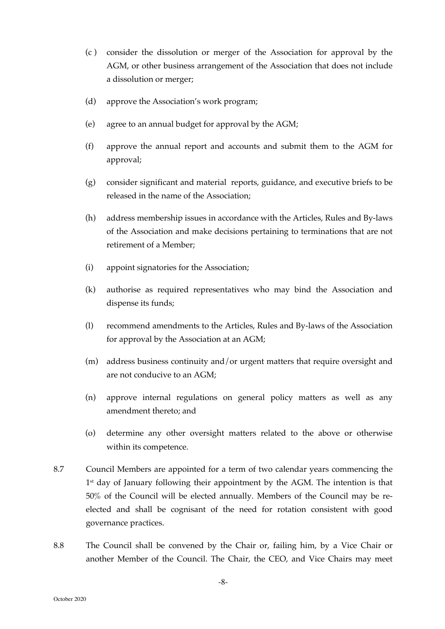- (c ) consider the dissolution or merger of the Association for approval by the AGM, or other business arrangement of the Association that does not include a dissolution or merger;
- (d) approve the Association's work program;
- (e) agree to an annual budget for approval by the AGM;
- (f) approve the annual report and accounts and submit them to the AGM for approval;
- (g) consider significant and material reports, guidance, and executive briefs to be released in the name of the Association;
- (h) address membership issues in accordance with the Articles, Rules and By-laws of the Association and make decisions pertaining to terminations that are not retirement of a Member;
- (i) appoint signatories for the Association;
- (k) authorise as required representatives who may bind the Association and dispense its funds;
- (l) recommend amendments to the Articles, Rules and By-laws of the Association for approval by the Association at an AGM;
- (m) address business continuity and/or urgent matters that require oversight and are not conducive to an AGM;
- (n) approve internal regulations on general policy matters as well as any amendment thereto; and
- (o) determine any other oversight matters related to the above or otherwise within its competence.
- 8.7 Council Members are appointed for a term of two calendar years commencing the 1<sup>st</sup> day of January following their appointment by the AGM. The intention is that 50% of the Council will be elected annually. Members of the Council may be reelected and shall be cognisant of the need for rotation consistent with good governance practices.
- 8.8 The Council shall be convened by the Chair or, failing him, by a Vice Chair or another Member of the Council. The Chair, the CEO, and Vice Chairs may meet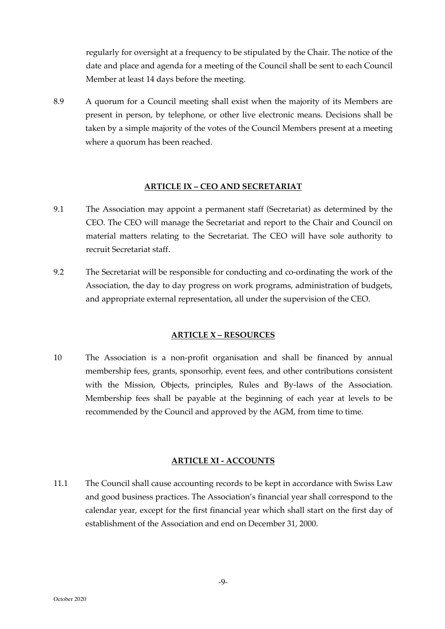regularly for oversight at a frequency to be stipulated by the Chair. The notice of the date and place and agenda for a meeting of the Council shall be sent to each Council Member at least 14 days before the meeting.

8.9 A quorum for a Council meeting shall exist when the majority of its Members are present in person, by telephone, or other live electronic means. Decisions shall be taken by a simple majority of the votes of the Council Members present at a meeting where a quorum has been reached.

## **ARTICLE IX – CEO AND SECRETARIAT**

- 9.1 The Association may appoint a permanent staff (Secretariat) as determined by the CEO. The CEO will manage the Secretariat and report to the Chair and Council on material matters relating to the Secretariat. The CEO will have sole authority to recruit Secretariat staff.
- 9.2 The Secretariat will be responsible for conducting and co-ordinating the work of the Association, the day to day progress on work programs, administration of budgets, and appropriate external representation, all under the supervision of the CEO.

## **ARTICLE X – RESOURCES**

10 The Association is a non-profit organisation and shall be financed by annual membership fees, grants, sponsorhip, event fees, and other contributions consistent with the Mission, Objects, principles, Rules and By-laws of the Association. Membership fees shall be payable at the beginning of each year at levels to be recommended by the Council and approved by the AGM, from time to time.

## **ARTICLE XI - ACCOUNTS**

11.1 The Council shall cause accounting records to be kept in accordance with Swiss Law and good business practices. The Association's financial year shall correspond to the calendar year, except for the first financial year which shall start on the first day of establishment of the Association and end on December 31, 2000.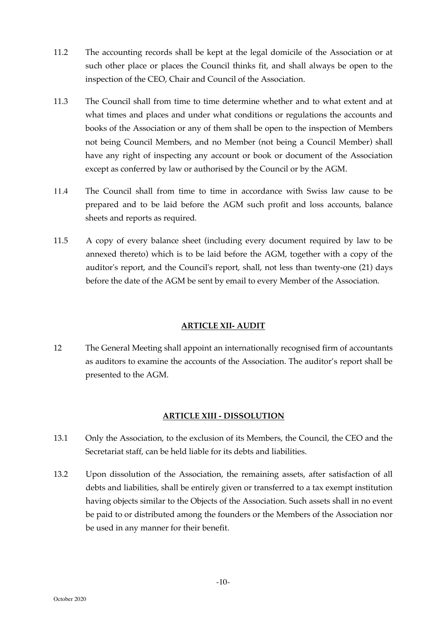- 11.2 The accounting records shall be kept at the legal domicile of the Association or at such other place or places the Council thinks fit, and shall always be open to the inspection of the CEO, Chair and Council of the Association.
- 11.3 The Council shall from time to time determine whether and to what extent and at what times and places and under what conditions or regulations the accounts and books of the Association or any of them shall be open to the inspection of Members not being Council Members, and no Member (not being a Council Member) shall have any right of inspecting any account or book or document of the Association except as conferred by law or authorised by the Council or by the AGM.
- 11.4 The Council shall from time to time in accordance with Swiss law cause to be prepared and to be laid before the AGM such profit and loss accounts, balance sheets and reports as required*.*
- 11.5 A copy of every balance sheet (including every document required by law to be annexed thereto) which is to be laid before the AGM, together with a copy of the auditor's report, and the Council's report, shall, not less than twenty-one (21) days before the date of the AGM be sent by email to every Member of the Association.

# **ARTICLE XII- AUDIT**

12 The General Meeting shall appoint an internationally recognised firm of accountants as auditors to examine the accounts of the Association. The auditor's report shall be presented to the AGM.

# **ARTICLE XIII - DISSOLUTION**

- 13.1 Only the Association, to the exclusion of its Members, the Council, the CEO and the Secretariat staff, can be held liable for its debts and liabilities.
- 13.2 Upon dissolution of the Association, the remaining assets, after satisfaction of all debts and liabilities, shall be entirely given or transferred to a tax exempt institution having objects similar to the Objects of the Association. Such assets shall in no event be paid to or distributed among the founders or the Members of the Association nor be used in any manner for their benefit.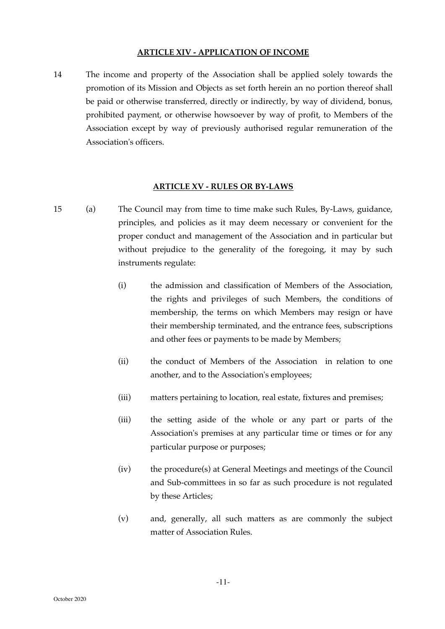#### **ARTICLE XIV - APPLICATION OF INCOME**

14 The income and property of the Association shall be applied solely towards the promotion of its Mission and Objects as set forth herein an no portion thereof shall be paid or otherwise transferred, directly or indirectly, by way of dividend, bonus, prohibited payment, or otherwise howsoever by way of profit, to Members of the Association except by way of previously authorised regular remuneration of the Association's officers.

#### **ARTICLE XV - RULES OR BY-LAWS**

- 15 (a) The Council may from time to time make such Rules, By-Laws, guidance, principles, and policies as it may deem necessary or convenient for the proper conduct and management of the Association and in particular but without prejudice to the generality of the foregoing, it may by such instruments regulate:
	- (i) the admission and classification of Members of the Association, the rights and privileges of such Members, the conditions of membership, the terms on which Members may resign or have their membership terminated, and the entrance fees, subscriptions and other fees or payments to be made by Members;
	- (ii) the conduct of Members of the Association in relation to one another, and to the Association's employees;
	- (iii) matters pertaining to location, real estate, fixtures and premises;
	- (iii) the setting aside of the whole or any part or parts of the Association's premises at any particular time or times or for any particular purpose or purposes;
	- (iv) the procedure(s) at General Meetings and meetings of the Council and Sub-committees in so far as such procedure is not regulated by these Articles;
	- (v) and, generally, all such matters as are commonly the subject matter of Association Rules.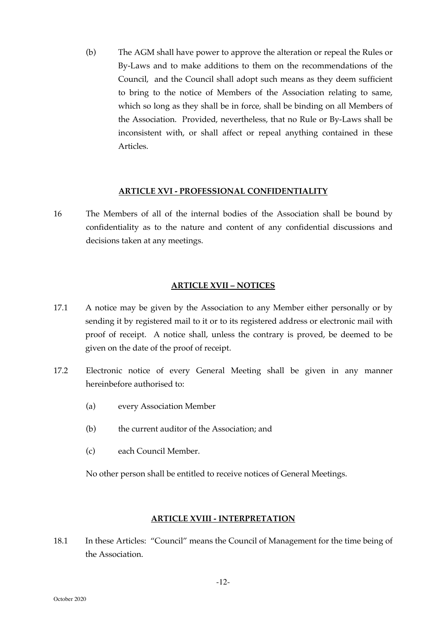(b) The AGM shall have power to approve the alteration or repeal the Rules or By-Laws and to make additions to them on the recommendations of the Council, and the Council shall adopt such means as they deem sufficient to bring to the notice of Members of the Association relating to same, which so long as they shall be in force, shall be binding on all Members of the Association. Provided, nevertheless, that no Rule or By-Laws shall be inconsistent with, or shall affect or repeal anything contained in these Articles.

#### **ARTICLE XVI - PROFESSIONAL CONFIDENTIALITY**

16 The Members of all of the internal bodies of the Association shall be bound by confidentiality as to the nature and content of any confidential discussions and decisions taken at any meetings.

## **ARTICLE XVII – NOTICES**

- 17.1 A notice may be given by the Association to any Member either personally or by sending it by registered mail to it or to its registered address or electronic mail with proof of receipt. A notice shall, unless the contrary is proved, be deemed to be given on the date of the proof of receipt.
- 17.2 Electronic notice of every General Meeting shall be given in any manner hereinbefore authorised to:
	- (a) every Association Member
	- (b) the current auditor of the Association; and
	- (c) each Council Member.

No other person shall be entitled to receive notices of General Meetings.

## **ARTICLE XVIII - INTERPRETATION**

18.1 In these Articles: "Council" means the Council of Management for the time being of the Association.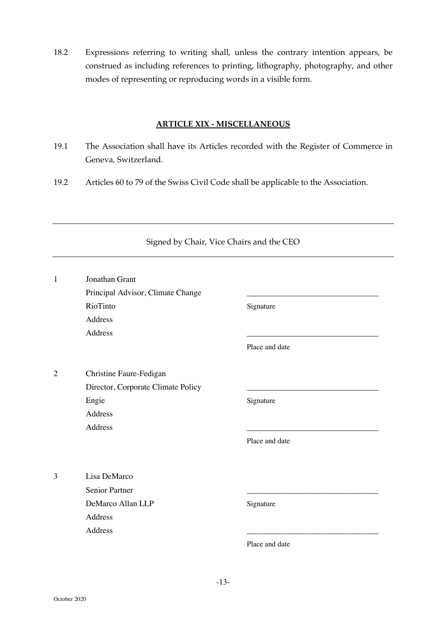18.2 Expressions referring to writing shall, unless the contrary intention appears, be construed as including references to printing, lithography, photography, and other modes of representing or reproducing words in a visible form.

# **ARTICLE XIX - MISCELLANEOUS**

- 19.1 The Association shall have its Articles recorded with the Register of Commerce in Geneva, Switzerland.
- 19.2 Articles 60 to 79 of the Swiss Civil Code shall be applicable to the Association.

| $\mathbf{1}$   | Jonathan Grant                     |                |  |
|----------------|------------------------------------|----------------|--|
|                | Principal Advisor, Climate Change  |                |  |
|                | RioTinto                           | Signature      |  |
|                | Address                            |                |  |
|                | Address                            |                |  |
|                |                                    | Place and date |  |
| $\overline{2}$ | Christine Faure-Fedigan            |                |  |
|                | Director, Corporate Climate Policy |                |  |
|                | Engie                              | Signature      |  |
|                | Address                            |                |  |
|                | Address                            |                |  |
|                |                                    | Place and date |  |
| 3              | Lisa DeMarco                       |                |  |
|                | Senior Partner                     |                |  |
|                | DeMarco Allan LLP                  | Signature      |  |
|                | Address                            |                |  |
|                | Address                            |                |  |
|                |                                    | Place and date |  |

## Signed by Chair, Vice Chairs and the CEO